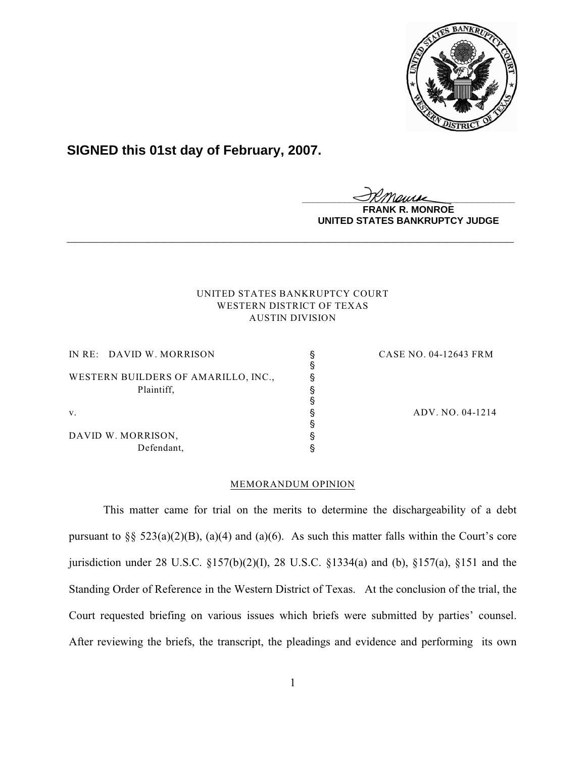

# **SIGNED this 01st day of February, 2007.**

**\_\_\_\_\_\_\_\_\_\_\_\_\_\_\_\_\_\_\_\_\_\_\_\_\_\_\_\_\_\_\_\_\_\_\_\_\_\_\_\_**

**MONROE UNITED STATES BANKRUPTCY JUDGE**

# UNITED STATES BANKRUPTCY COURT WESTERN DISTRICT OF TEXAS AUSTIN DIVISION

**\_\_\_\_\_\_\_\_\_\_\_\_\_\_\_\_\_\_\_\_\_\_\_\_\_\_\_\_\_\_\_\_\_\_\_\_\_\_\_\_\_\_\_\_\_\_\_\_\_\_\_\_\_\_\_\_\_\_\_\_**

| IN RE: DAVID W. MORRISON            | CASE NO. 04-12643 FRM |
|-------------------------------------|-----------------------|
|                                     |                       |
| WESTERN BUILDERS OF AMARILLO, INC., |                       |
| Plaintiff,                          |                       |
|                                     |                       |
| V.                                  | ADV. NO. 04-1214      |
|                                     |                       |
| DAVID W. MORRISON,                  |                       |
| Defendant,                          |                       |

# MEMORANDUM OPINION

This matter came for trial on the merits to determine the dischargeability of a debt pursuant to §§  $523(a)(2)(B)$ , (a)(4) and (a)(6). As such this matter falls within the Court's core jurisdiction under 28 U.S.C. §157(b)(2)(I), 28 U.S.C. §1334(a) and (b), §157(a), §151 and the Standing Order of Reference in the Western District of Texas. At the conclusion of the trial, the Court requested briefing on various issues which briefs were submitted by parties' counsel. After reviewing the briefs, the transcript, the pleadings and evidence and performing its own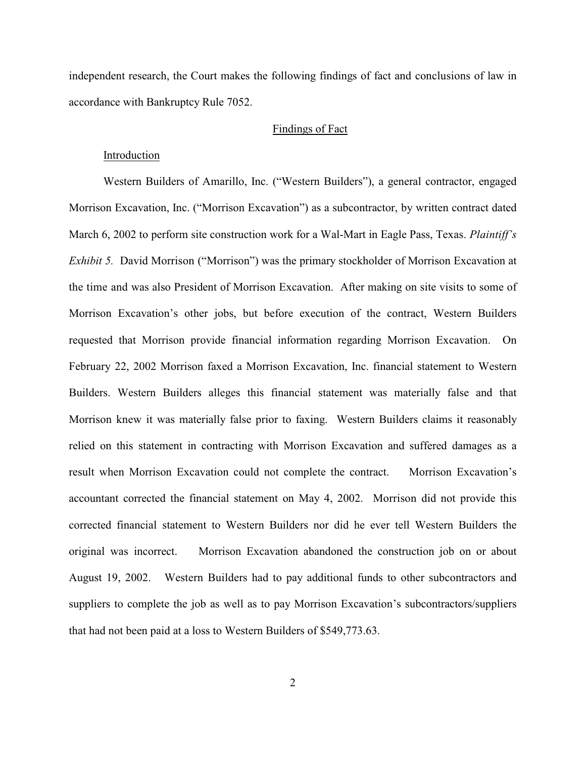independent research, the Court makes the following findings of fact and conclusions of law in accordance with Bankruptcy Rule 7052.

# Findings of Fact

## Introduction

Western Builders of Amarillo, Inc. ("Western Builders"), a general contractor, engaged Morrison Excavation, Inc. ("Morrison Excavation") as a subcontractor, by written contract dated March 6, 2002 to perform site construction work for a Wal-Mart in Eagle Pass, Texas. *Plaintiff's Exhibit 5.* David Morrison ("Morrison") was the primary stockholder of Morrison Excavation at the time and was also President of Morrison Excavation. After making on site visits to some of Morrison Excavation's other jobs, but before execution of the contract, Western Builders requested that Morrison provide financial information regarding Morrison Excavation. On February 22, 2002 Morrison faxed a Morrison Excavation, Inc. financial statement to Western Builders. Western Builders alleges this financial statement was materially false and that Morrison knew it was materially false prior to faxing. Western Builders claims it reasonably relied on this statement in contracting with Morrison Excavation and suffered damages as a result when Morrison Excavation could not complete the contract. Morrison Excavation's accountant corrected the financial statement on May 4, 2002. Morrison did not provide this corrected financial statement to Western Builders nor did he ever tell Western Builders the original was incorrect. Morrison Excavation abandoned the construction job on or about August 19, 2002. Western Builders had to pay additional funds to other subcontractors and suppliers to complete the job as well as to pay Morrison Excavation's subcontractors/suppliers that had not been paid at a loss to Western Builders of \$549,773.63.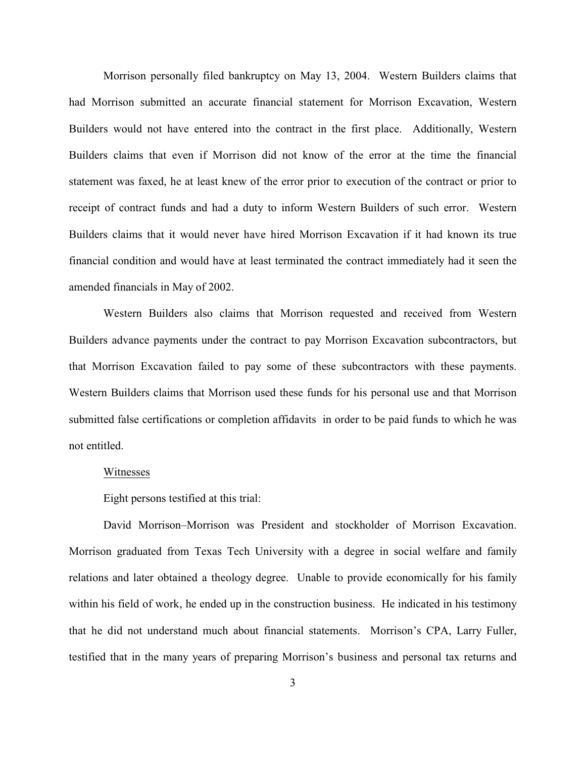Morrison personally filed bankruptcy on May 13, 2004. Western Builders claims that had Morrison submitted an accurate financial statement for Morrison Excavation, Western Builders would not have entered into the contract in the first place. Additionally, Western Builders claims that even if Morrison did not know of the error at the time the financial statement was faxed, he at least knew of the error prior to execution of the contract or prior to receipt of contract funds and had a duty to inform Western Builders of such error. Western Builders claims that it would never have hired Morrison Excavation if it had known its true financial condition and would have at least terminated the contract immediately had it seen the amended financials in May of 2002.

Western Builders also claims that Morrison requested and received from Western Builders advance payments under the contract to pay Morrison Excavation subcontractors, but that Morrison Excavation failed to pay some of these subcontractors with these payments. Western Builders claims that Morrison used these funds for his personal use and that Morrison submitted false certifications or completion affidavits in order to be paid funds to which he was not entitled.

# Witnesses

Eight persons testified at this trial:

David Morrison–Morrison was President and stockholder of Morrison Excavation. Morrison graduated from Texas Tech University with a degree in social welfare and family relations and later obtained a theology degree. Unable to provide economically for his family within his field of work, he ended up in the construction business. He indicated in his testimony that he did not understand much about financial statements. Morrison's CPA, Larry Fuller, testified that in the many years of preparing Morrison's business and personal tax returns and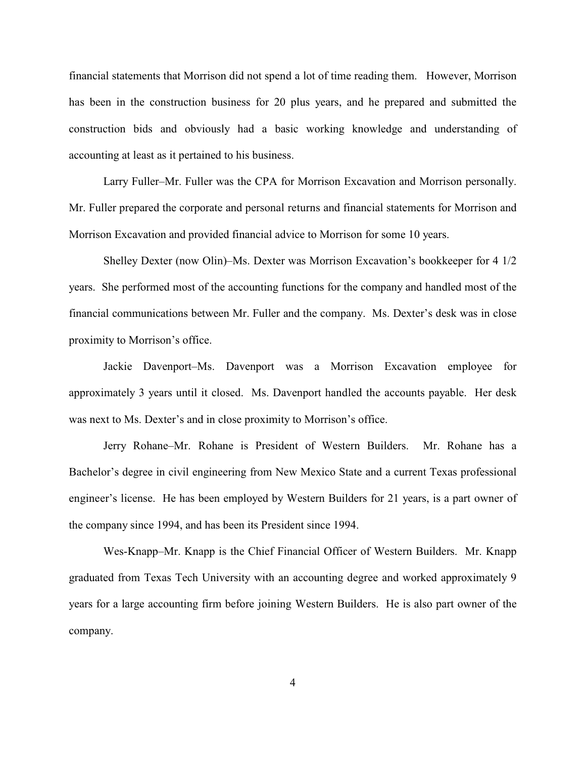financial statements that Morrison did not spend a lot of time reading them. However, Morrison has been in the construction business for 20 plus years, and he prepared and submitted the construction bids and obviously had a basic working knowledge and understanding of accounting at least as it pertained to his business.

Larry Fuller–Mr. Fuller was the CPA for Morrison Excavation and Morrison personally. Mr. Fuller prepared the corporate and personal returns and financial statements for Morrison and Morrison Excavation and provided financial advice to Morrison for some 10 years.

Shelley Dexter (now Olin)–Ms. Dexter was Morrison Excavation's bookkeeper for 4 1/2 years. She performed most of the accounting functions for the company and handled most of the financial communications between Mr. Fuller and the company. Ms. Dexter's desk was in close proximity to Morrison's office.

Jackie Davenport–Ms. Davenport was a Morrison Excavation employee for approximately 3 years until it closed. Ms. Davenport handled the accounts payable. Her desk was next to Ms. Dexter's and in close proximity to Morrison's office.

Jerry Rohane–Mr. Rohane is President of Western Builders. Mr. Rohane has a Bachelor's degree in civil engineering from New Mexico State and a current Texas professional engineer's license. He has been employed by Western Builders for 21 years, is a part owner of the company since 1994, and has been its President since 1994.

Wes-Knapp–Mr. Knapp is the Chief Financial Officer of Western Builders. Mr. Knapp graduated from Texas Tech University with an accounting degree and worked approximately 9 years for a large accounting firm before joining Western Builders. He is also part owner of the company.

4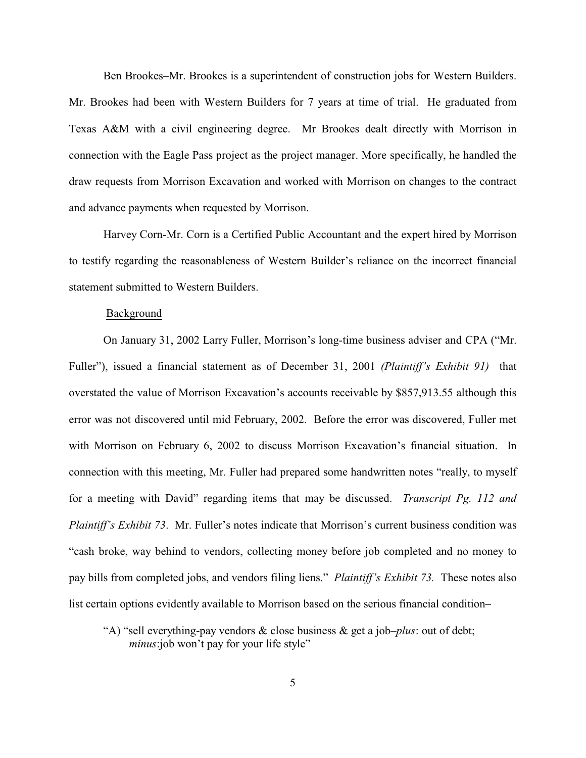Ben Brookes–Mr. Brookes is a superintendent of construction jobs for Western Builders. Mr. Brookes had been with Western Builders for 7 years at time of trial. He graduated from Texas A&M with a civil engineering degree. Mr Brookes dealt directly with Morrison in connection with the Eagle Pass project as the project manager. More specifically, he handled the draw requests from Morrison Excavation and worked with Morrison on changes to the contract and advance payments when requested by Morrison.

Harvey Corn-Mr. Corn is a Certified Public Accountant and the expert hired by Morrison to testify regarding the reasonableness of Western Builder's reliance on the incorrect financial statement submitted to Western Builders.

#### Background

On January 31, 2002 Larry Fuller, Morrison's long-time business adviser and CPA ("Mr. Fuller"), issued a financial statement as of December 31, 2001 *(Plaintiff's Exhibit 91)* that overstated the value of Morrison Excavation's accounts receivable by \$857,913.55 although this error was not discovered until mid February, 2002. Before the error was discovered, Fuller met with Morrison on February 6, 2002 to discuss Morrison Excavation's financial situation. In connection with this meeting, Mr. Fuller had prepared some handwritten notes "really, to myself for a meeting with David" regarding items that may be discussed. *Transcript Pg. 112 and Plaintiff's Exhibit 73*. Mr. Fuller's notes indicate that Morrison's current business condition was "cash broke, way behind to vendors, collecting money before job completed and no money to pay bills from completed jobs, and vendors filing liens." *Plaintiff's Exhibit 73.* These notes also list certain options evidently available to Morrison based on the serious financial condition–

"A) "sell everything-pay vendors & close business & get a job–*plus*: out of debt; *minus*:job won't pay for your life style"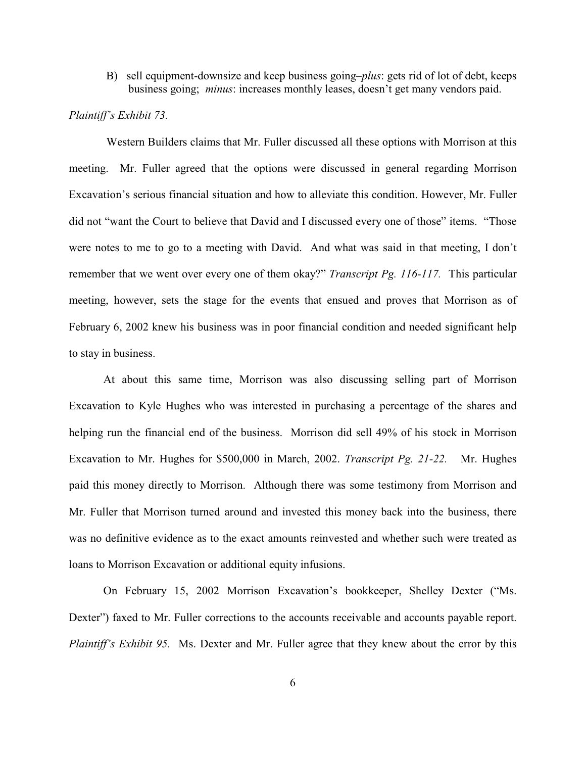B) sell equipment-downsize and keep business going–*plus*: gets rid of lot of debt, keeps business going; *minus*: increases monthly leases, doesn't get many vendors paid.

# *Plaintiff's Exhibit 73.*

 Western Builders claims that Mr. Fuller discussed all these options with Morrison at this meeting. Mr. Fuller agreed that the options were discussed in general regarding Morrison Excavation's serious financial situation and how to alleviate this condition. However, Mr. Fuller did not "want the Court to believe that David and I discussed every one of those" items. "Those were notes to me to go to a meeting with David. And what was said in that meeting, I don't remember that we went over every one of them okay?" *Transcript Pg. 116-117.* This particular meeting, however, sets the stage for the events that ensued and proves that Morrison as of February 6, 2002 knew his business was in poor financial condition and needed significant help to stay in business.

At about this same time, Morrison was also discussing selling part of Morrison Excavation to Kyle Hughes who was interested in purchasing a percentage of the shares and helping run the financial end of the business. Morrison did sell 49% of his stock in Morrison Excavation to Mr. Hughes for \$500,000 in March, 2002. *Transcript Pg. 21-22.* Mr. Hughes paid this money directly to Morrison. Although there was some testimony from Morrison and Mr. Fuller that Morrison turned around and invested this money back into the business, there was no definitive evidence as to the exact amounts reinvested and whether such were treated as loans to Morrison Excavation or additional equity infusions.

On February 15, 2002 Morrison Excavation's bookkeeper, Shelley Dexter ("Ms. Dexter") faxed to Mr. Fuller corrections to the accounts receivable and accounts payable report. *Plaintiff's Exhibit 95.* Ms. Dexter and Mr. Fuller agree that they knew about the error by this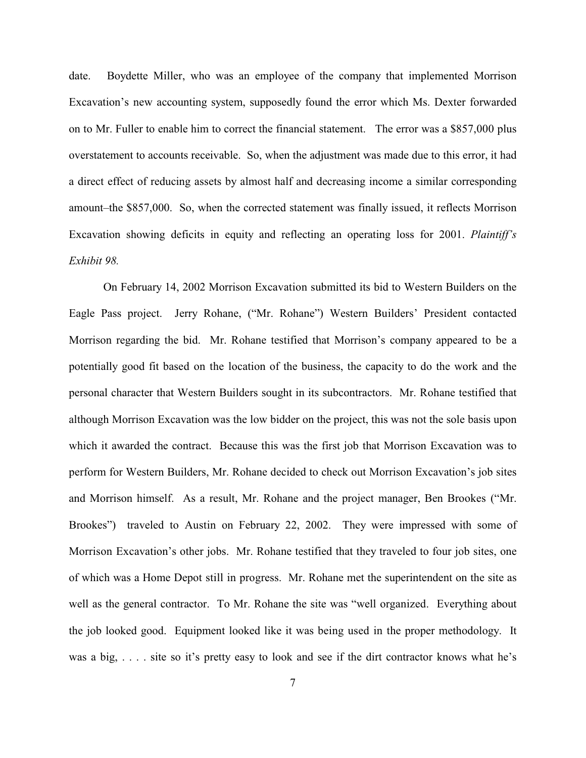date. Boydette Miller, who was an employee of the company that implemented Morrison Excavation's new accounting system, supposedly found the error which Ms. Dexter forwarded on to Mr. Fuller to enable him to correct the financial statement. The error was a \$857,000 plus overstatement to accounts receivable. So, when the adjustment was made due to this error, it had a direct effect of reducing assets by almost half and decreasing income a similar corresponding amount–the \$857,000. So, when the corrected statement was finally issued, it reflects Morrison Excavation showing deficits in equity and reflecting an operating loss for 2001. *Plaintiff's Exhibit 98.*

On February 14, 2002 Morrison Excavation submitted its bid to Western Builders on the Eagle Pass project. Jerry Rohane, ("Mr. Rohane") Western Builders' President contacted Morrison regarding the bid. Mr. Rohane testified that Morrison's company appeared to be a potentially good fit based on the location of the business, the capacity to do the work and the personal character that Western Builders sought in its subcontractors. Mr. Rohane testified that although Morrison Excavation was the low bidder on the project, this was not the sole basis upon which it awarded the contract. Because this was the first job that Morrison Excavation was to perform for Western Builders, Mr. Rohane decided to check out Morrison Excavation's job sites and Morrison himself. As a result, Mr. Rohane and the project manager, Ben Brookes ("Mr. Brookes") traveled to Austin on February 22, 2002. They were impressed with some of Morrison Excavation's other jobs. Mr. Rohane testified that they traveled to four job sites, one of which was a Home Depot still in progress. Mr. Rohane met the superintendent on the site as well as the general contractor. To Mr. Rohane the site was "well organized. Everything about the job looked good. Equipment looked like it was being used in the proper methodology. It was a big, ... site so it's pretty easy to look and see if the dirt contractor knows what he's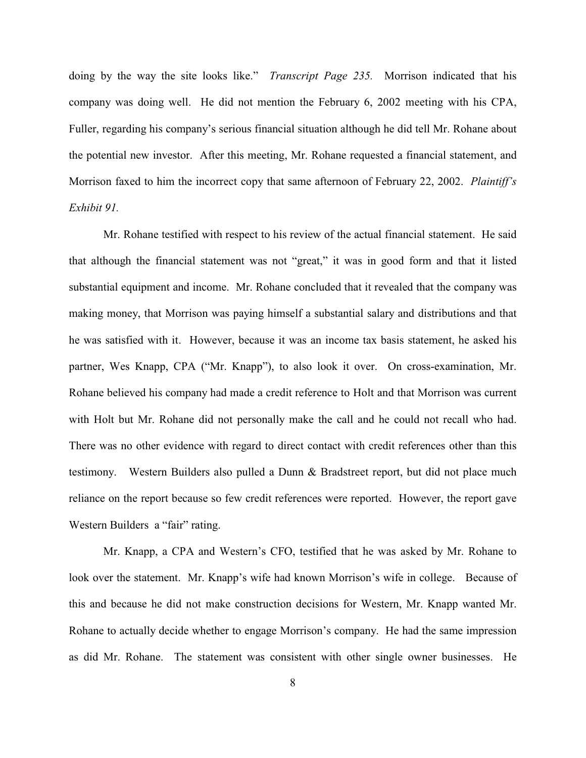doing by the way the site looks like." *Transcript Page 235.* Morrison indicated that his company was doing well. He did not mention the February 6, 2002 meeting with his CPA, Fuller, regarding his company's serious financial situation although he did tell Mr. Rohane about the potential new investor. After this meeting, Mr. Rohane requested a financial statement, and Morrison faxed to him the incorrect copy that same afternoon of February 22, 2002. *Plaintiff's Exhibit 91.*

Mr. Rohane testified with respect to his review of the actual financial statement. He said that although the financial statement was not "great," it was in good form and that it listed substantial equipment and income. Mr. Rohane concluded that it revealed that the company was making money, that Morrison was paying himself a substantial salary and distributions and that he was satisfied with it. However, because it was an income tax basis statement, he asked his partner, Wes Knapp, CPA ("Mr. Knapp"), to also look it over. On cross-examination, Mr. Rohane believed his company had made a credit reference to Holt and that Morrison was current with Holt but Mr. Rohane did not personally make the call and he could not recall who had. There was no other evidence with regard to direct contact with credit references other than this testimony. Western Builders also pulled a Dunn & Bradstreet report, but did not place much reliance on the report because so few credit references were reported. However, the report gave Western Builders a "fair" rating.

Mr. Knapp, a CPA and Western's CFO, testified that he was asked by Mr. Rohane to look over the statement. Mr. Knapp's wife had known Morrison's wife in college. Because of this and because he did not make construction decisions for Western, Mr. Knapp wanted Mr. Rohane to actually decide whether to engage Morrison's company. He had the same impression as did Mr. Rohane. The statement was consistent with other single owner businesses. He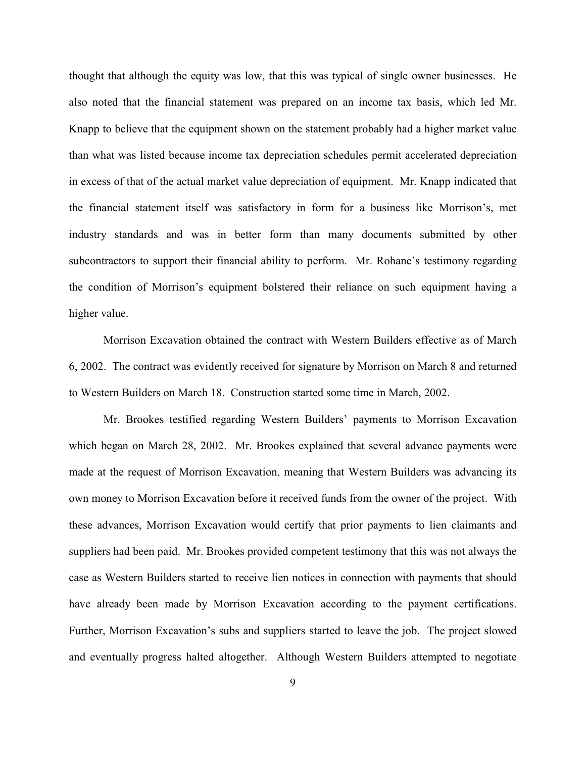thought that although the equity was low, that this was typical of single owner businesses. He also noted that the financial statement was prepared on an income tax basis, which led Mr. Knapp to believe that the equipment shown on the statement probably had a higher market value than what was listed because income tax depreciation schedules permit accelerated depreciation in excess of that of the actual market value depreciation of equipment. Mr. Knapp indicated that the financial statement itself was satisfactory in form for a business like Morrison's, met industry standards and was in better form than many documents submitted by other subcontractors to support their financial ability to perform. Mr. Rohane's testimony regarding the condition of Morrison's equipment bolstered their reliance on such equipment having a higher value.

Morrison Excavation obtained the contract with Western Builders effective as of March 6, 2002. The contract was evidently received for signature by Morrison on March 8 and returned to Western Builders on March 18. Construction started some time in March, 2002.

Mr. Brookes testified regarding Western Builders' payments to Morrison Excavation which began on March 28, 2002. Mr. Brookes explained that several advance payments were made at the request of Morrison Excavation, meaning that Western Builders was advancing its own money to Morrison Excavation before it received funds from the owner of the project. With these advances, Morrison Excavation would certify that prior payments to lien claimants and suppliers had been paid. Mr. Brookes provided competent testimony that this was not always the case as Western Builders started to receive lien notices in connection with payments that should have already been made by Morrison Excavation according to the payment certifications. Further, Morrison Excavation's subs and suppliers started to leave the job. The project slowed and eventually progress halted altogether. Although Western Builders attempted to negotiate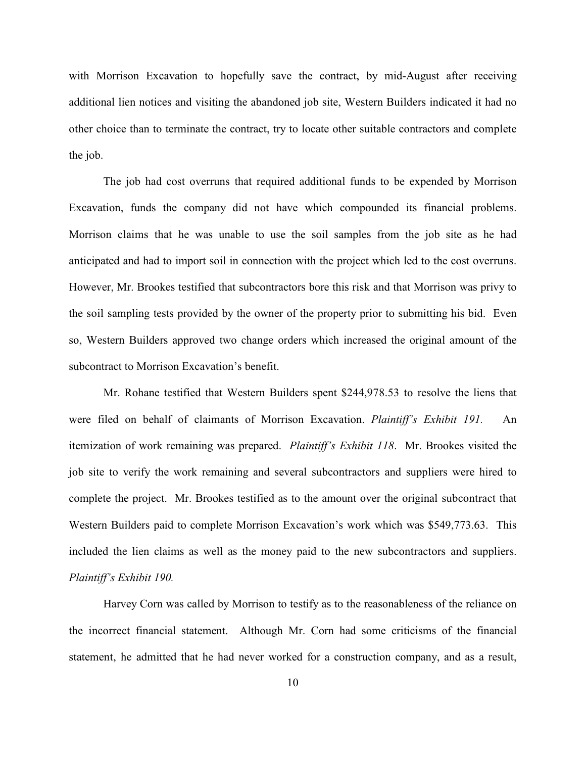with Morrison Excavation to hopefully save the contract, by mid-August after receiving additional lien notices and visiting the abandoned job site, Western Builders indicated it had no other choice than to terminate the contract, try to locate other suitable contractors and complete the job.

The job had cost overruns that required additional funds to be expended by Morrison Excavation, funds the company did not have which compounded its financial problems. Morrison claims that he was unable to use the soil samples from the job site as he had anticipated and had to import soil in connection with the project which led to the cost overruns. However, Mr. Brookes testified that subcontractors bore this risk and that Morrison was privy to the soil sampling tests provided by the owner of the property prior to submitting his bid. Even so, Western Builders approved two change orders which increased the original amount of the subcontract to Morrison Excavation's benefit.

Mr. Rohane testified that Western Builders spent \$244,978.53 to resolve the liens that were filed on behalf of claimants of Morrison Excavation. *Plaintiff's Exhibit 191.* An itemization of work remaining was prepared. *Plaintiff's Exhibit 118*. Mr. Brookes visited the job site to verify the work remaining and several subcontractors and suppliers were hired to complete the project. Mr. Brookes testified as to the amount over the original subcontract that Western Builders paid to complete Morrison Excavation's work which was \$549,773.63. This included the lien claims as well as the money paid to the new subcontractors and suppliers. *Plaintiff's Exhibit 190.*

Harvey Corn was called by Morrison to testify as to the reasonableness of the reliance on the incorrect financial statement. Although Mr. Corn had some criticisms of the financial statement, he admitted that he had never worked for a construction company, and as a result,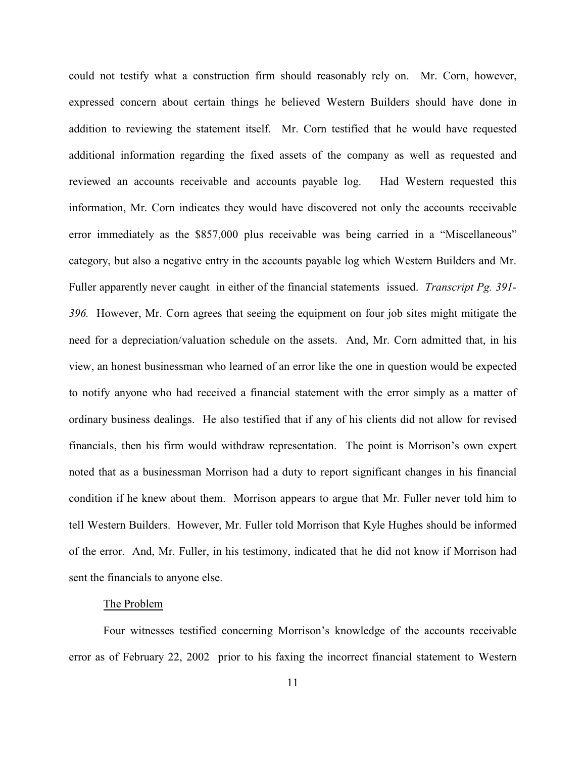could not testify what a construction firm should reasonably rely on. Mr. Corn, however, expressed concern about certain things he believed Western Builders should have done in addition to reviewing the statement itself. Mr. Corn testified that he would have requested additional information regarding the fixed assets of the company as well as requested and reviewed an accounts receivable and accounts payable log. Had Western requested this information, Mr. Corn indicates they would have discovered not only the accounts receivable error immediately as the \$857,000 plus receivable was being carried in a "Miscellaneous" category, but also a negative entry in the accounts payable log which Western Builders and Mr. Fuller apparently never caught in either of the financial statements issued. *Transcript Pg. 391- 396.* However, Mr. Corn agrees that seeing the equipment on four job sites might mitigate the need for a depreciation/valuation schedule on the assets. And, Mr. Corn admitted that, in his view, an honest businessman who learned of an error like the one in question would be expected to notify anyone who had received a financial statement with the error simply as a matter of ordinary business dealings. He also testified that if any of his clients did not allow for revised financials, then his firm would withdraw representation. The point is Morrison's own expert noted that as a businessman Morrison had a duty to report significant changes in his financial condition if he knew about them. Morrison appears to argue that Mr. Fuller never told him to tell Western Builders. However, Mr. Fuller told Morrison that Kyle Hughes should be informed of the error. And, Mr. Fuller, in his testimony, indicated that he did not know if Morrison had sent the financials to anyone else.

# The Problem

Four witnesses testified concerning Morrison's knowledge of the accounts receivable error as of February 22, 2002 prior to his faxing the incorrect financial statement to Western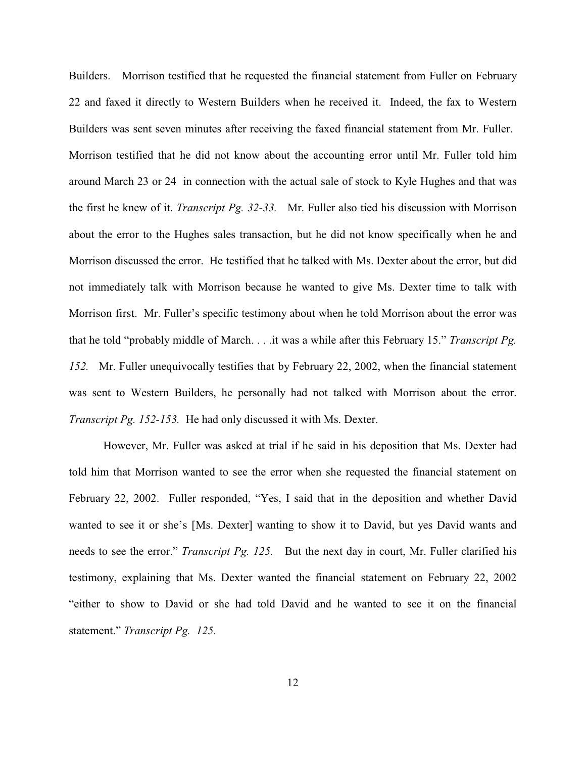Builders. Morrison testified that he requested the financial statement from Fuller on February 22 and faxed it directly to Western Builders when he received it. Indeed, the fax to Western Builders was sent seven minutes after receiving the faxed financial statement from Mr. Fuller. Morrison testified that he did not know about the accounting error until Mr. Fuller told him around March 23 or 24 in connection with the actual sale of stock to Kyle Hughes and that was the first he knew of it. *Transcript Pg. 32-33.* Mr. Fuller also tied his discussion with Morrison about the error to the Hughes sales transaction, but he did not know specifically when he and Morrison discussed the error. He testified that he talked with Ms. Dexter about the error, but did not immediately talk with Morrison because he wanted to give Ms. Dexter time to talk with Morrison first. Mr. Fuller's specific testimony about when he told Morrison about the error was that he told "probably middle of March. . . .it was a while after this February 15." *Transcript Pg. 152.* Mr. Fuller unequivocally testifies that by February 22, 2002, when the financial statement was sent to Western Builders, he personally had not talked with Morrison about the error. *Transcript Pg. 152-153.* He had only discussed it with Ms. Dexter.

However, Mr. Fuller was asked at trial if he said in his deposition that Ms. Dexter had told him that Morrison wanted to see the error when she requested the financial statement on February 22, 2002. Fuller responded, "Yes, I said that in the deposition and whether David wanted to see it or she's [Ms. Dexter] wanting to show it to David, but yes David wants and needs to see the error." *Transcript Pg. 125.* But the next day in court, Mr. Fuller clarified his testimony, explaining that Ms. Dexter wanted the financial statement on February 22, 2002 "either to show to David or she had told David and he wanted to see it on the financial statement." *Transcript Pg. 125.*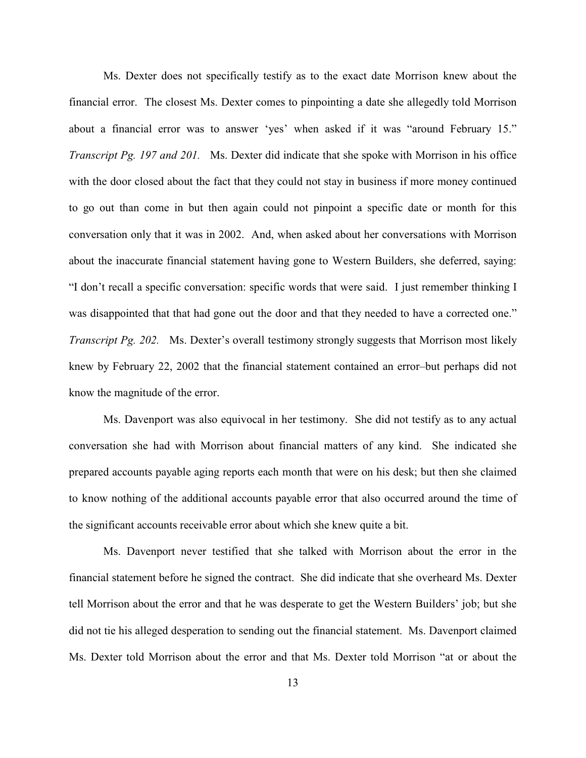Ms. Dexter does not specifically testify as to the exact date Morrison knew about the financial error. The closest Ms. Dexter comes to pinpointing a date she allegedly told Morrison about a financial error was to answer 'yes' when asked if it was "around February 15." *Transcript Pg. 197 and 201.* Ms. Dexter did indicate that she spoke with Morrison in his office with the door closed about the fact that they could not stay in business if more money continued to go out than come in but then again could not pinpoint a specific date or month for this conversation only that it was in 2002. And, when asked about her conversations with Morrison about the inaccurate financial statement having gone to Western Builders, she deferred, saying: "I don't recall a specific conversation: specific words that were said. I just remember thinking I was disappointed that that had gone out the door and that they needed to have a corrected one." *Transcript Pg. 202.* Ms. Dexter's overall testimony strongly suggests that Morrison most likely knew by February 22, 2002 that the financial statement contained an error–but perhaps did not know the magnitude of the error.

Ms. Davenport was also equivocal in her testimony. She did not testify as to any actual conversation she had with Morrison about financial matters of any kind. She indicated she prepared accounts payable aging reports each month that were on his desk; but then she claimed to know nothing of the additional accounts payable error that also occurred around the time of the significant accounts receivable error about which she knew quite a bit.

Ms. Davenport never testified that she talked with Morrison about the error in the financial statement before he signed the contract. She did indicate that she overheard Ms. Dexter tell Morrison about the error and that he was desperate to get the Western Builders' job; but she did not tie his alleged desperation to sending out the financial statement. Ms. Davenport claimed Ms. Dexter told Morrison about the error and that Ms. Dexter told Morrison "at or about the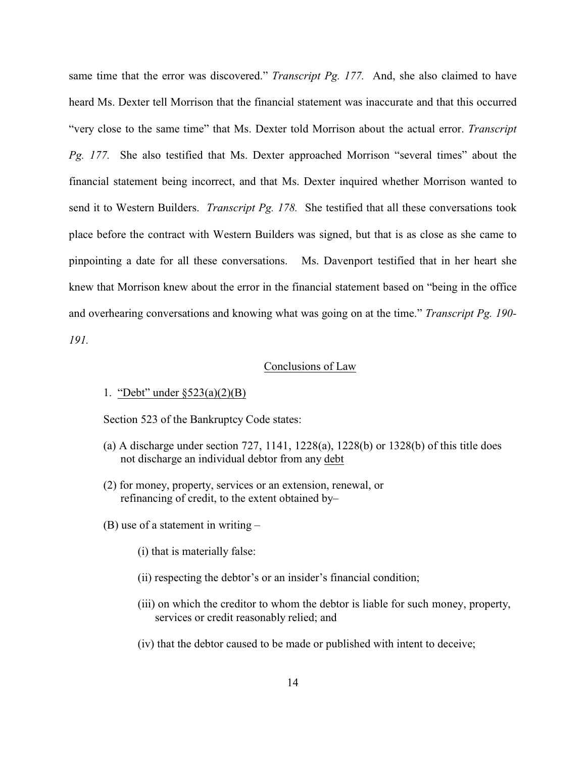same time that the error was discovered." *Transcript Pg. 177.* And, she also claimed to have heard Ms. Dexter tell Morrison that the financial statement was inaccurate and that this occurred "very close to the same time" that Ms. Dexter told Morrison about the actual error. *Transcript Pg. 177.* She also testified that Ms. Dexter approached Morrison "several times" about the financial statement being incorrect, and that Ms. Dexter inquired whether Morrison wanted to send it to Western Builders. *Transcript Pg. 178.* She testified that all these conversations took place before the contract with Western Builders was signed, but that is as close as she came to pinpointing a date for all these conversations. Ms. Davenport testified that in her heart she knew that Morrison knew about the error in the financial statement based on "being in the office and overhearing conversations and knowing what was going on at the time." *Transcript Pg. 190- 191.*

#### Conclusions of Law

## 1. "Debt" under §523(a)(2)(B)

Section 523 of the Bankruptcy Code states:

- (a) A discharge under section  $727$ ,  $1141$ ,  $1228(a)$ ,  $1228(b)$  or  $1328(b)$  of this title does not discharge an individual debtor from any debt
- (2) for money, property, services or an extension, renewal, or refinancing of credit, to the extent obtained by–
- (B) use of a statement in writing
	- (i) that is materially false:
	- (ii) respecting the debtor's or an insider's financial condition;
	- (iii) on which the creditor to whom the debtor is liable for such money, property, services or credit reasonably relied; and
	- (iv) that the debtor caused to be made or published with intent to deceive;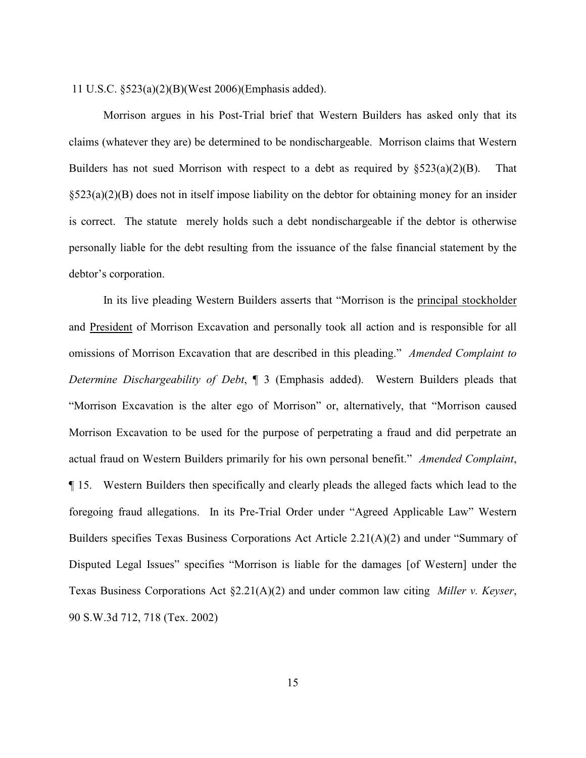11 U.S.C. §523(a)(2)(B)(West 2006)(Emphasis added).

Morrison argues in his Post-Trial brief that Western Builders has asked only that its claims (whatever they are) be determined to be nondischargeable. Morrison claims that Western Builders has not sued Morrison with respect to a debt as required by  $\S 523(a)(2)(B)$ . That §523(a)(2)(B) does not in itself impose liability on the debtor for obtaining money for an insider is correct. The statute merely holds such a debt nondischargeable if the debtor is otherwise personally liable for the debt resulting from the issuance of the false financial statement by the debtor's corporation.

In its live pleading Western Builders asserts that "Morrison is the principal stockholder and President of Morrison Excavation and personally took all action and is responsible for all omissions of Morrison Excavation that are described in this pleading." *Amended Complaint to Determine Dischargeability of Debt*, ¶ 3 (Emphasis added). Western Builders pleads that "Morrison Excavation is the alter ego of Morrison" or, alternatively, that "Morrison caused Morrison Excavation to be used for the purpose of perpetrating a fraud and did perpetrate an actual fraud on Western Builders primarily for his own personal benefit." *Amended Complaint*, ¶ 15. Western Builders then specifically and clearly pleads the alleged facts which lead to the foregoing fraud allegations. In its Pre-Trial Order under "Agreed Applicable Law" Western Builders specifies Texas Business Corporations Act Article 2.21(A)(2) and under "Summary of Disputed Legal Issues" specifies "Morrison is liable for the damages [of Western] under the Texas Business Corporations Act §2.21(A)(2) and under common law citing *Miller v. Keyser*, 90 S.W.3d 712, 718 (Tex. 2002)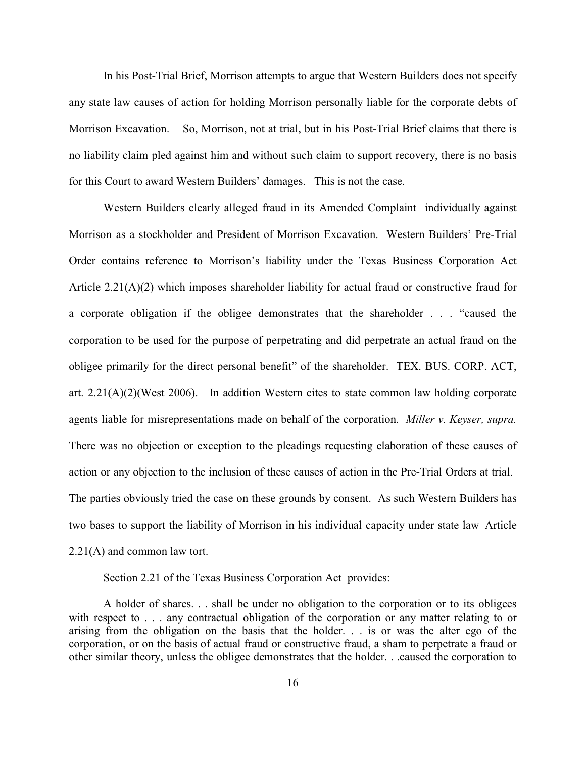In his Post-Trial Brief, Morrison attempts to argue that Western Builders does not specify any state law causes of action for holding Morrison personally liable for the corporate debts of Morrison Excavation. So, Morrison, not at trial, but in his Post-Trial Brief claims that there is no liability claim pled against him and without such claim to support recovery, there is no basis for this Court to award Western Builders' damages. This is not the case.

Western Builders clearly alleged fraud in its Amended Complaint individually against Morrison as a stockholder and President of Morrison Excavation. Western Builders' Pre-Trial Order contains reference to Morrison's liability under the Texas Business Corporation Act Article 2.21(A)(2) which imposes shareholder liability for actual fraud or constructive fraud for a corporate obligation if the obligee demonstrates that the shareholder . . . "caused the corporation to be used for the purpose of perpetrating and did perpetrate an actual fraud on the obligee primarily for the direct personal benefit" of the shareholder. TEX. BUS. CORP. ACT, art. 2.21(A)(2)(West 2006). In addition Western cites to state common law holding corporate agents liable for misrepresentations made on behalf of the corporation. *Miller v. Keyser, supra.* There was no objection or exception to the pleadings requesting elaboration of these causes of action or any objection to the inclusion of these causes of action in the Pre-Trial Orders at trial. The parties obviously tried the case on these grounds by consent. As such Western Builders has two bases to support the liability of Morrison in his individual capacity under state law–Article 2.21(A) and common law tort.

Section 2.21 of the Texas Business Corporation Act provides:

A holder of shares. . . shall be under no obligation to the corporation or to its obligees with respect to . . . any contractual obligation of the corporation or any matter relating to or arising from the obligation on the basis that the holder. . . is or was the alter ego of the corporation, or on the basis of actual fraud or constructive fraud, a sham to perpetrate a fraud or other similar theory, unless the obligee demonstrates that the holder. . .caused the corporation to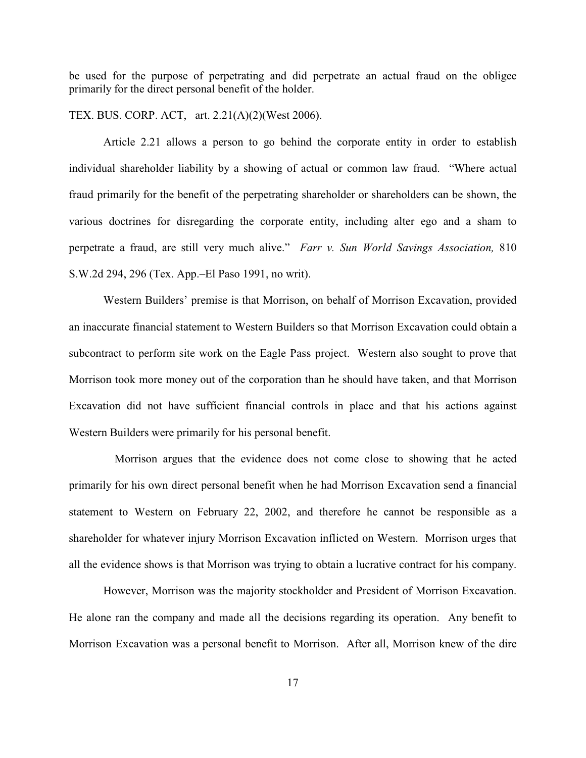be used for the purpose of perpetrating and did perpetrate an actual fraud on the obligee primarily for the direct personal benefit of the holder.

TEX. BUS. CORP. ACT, art. 2.21(A)(2)(West 2006).

Article 2.21 allows a person to go behind the corporate entity in order to establish individual shareholder liability by a showing of actual or common law fraud. "Where actual fraud primarily for the benefit of the perpetrating shareholder or shareholders can be shown, the various doctrines for disregarding the corporate entity, including alter ego and a sham to perpetrate a fraud, are still very much alive." *Farr v. Sun World Savings Association,* 810 S.W.2d 294, 296 (Tex. App.–El Paso 1991, no writ).

Western Builders' premise is that Morrison, on behalf of Morrison Excavation, provided an inaccurate financial statement to Western Builders so that Morrison Excavation could obtain a subcontract to perform site work on the Eagle Pass project. Western also sought to prove that Morrison took more money out of the corporation than he should have taken, and that Morrison Excavation did not have sufficient financial controls in place and that his actions against Western Builders were primarily for his personal benefit.

 Morrison argues that the evidence does not come close to showing that he acted primarily for his own direct personal benefit when he had Morrison Excavation send a financial statement to Western on February 22, 2002, and therefore he cannot be responsible as a shareholder for whatever injury Morrison Excavation inflicted on Western. Morrison urges that all the evidence shows is that Morrison was trying to obtain a lucrative contract for his company.

However, Morrison was the majority stockholder and President of Morrison Excavation. He alone ran the company and made all the decisions regarding its operation. Any benefit to Morrison Excavation was a personal benefit to Morrison. After all, Morrison knew of the dire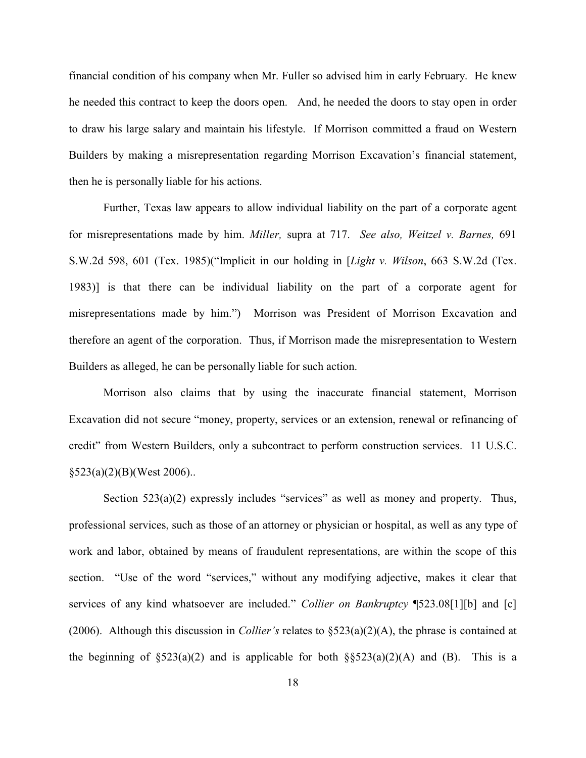financial condition of his company when Mr. Fuller so advised him in early February. He knew he needed this contract to keep the doors open. And, he needed the doors to stay open in order to draw his large salary and maintain his lifestyle. If Morrison committed a fraud on Western Builders by making a misrepresentation regarding Morrison Excavation's financial statement, then he is personally liable for his actions.

Further, Texas law appears to allow individual liability on the part of a corporate agent for misrepresentations made by him. *Miller,* supra at 717. *See also, Weitzel v. Barnes,* 691 S.W.2d 598, 601 (Tex. 1985)("Implicit in our holding in [*Light v. Wilson*, 663 S.W.2d (Tex. 1983)] is that there can be individual liability on the part of a corporate agent for misrepresentations made by him.") Morrison was President of Morrison Excavation and therefore an agent of the corporation. Thus, if Morrison made the misrepresentation to Western Builders as alleged, he can be personally liable for such action.

Morrison also claims that by using the inaccurate financial statement, Morrison Excavation did not secure "money, property, services or an extension, renewal or refinancing of credit" from Western Builders, only a subcontract to perform construction services. 11 U.S.C.  $§523(a)(2)(B)(West 2006)$ ..

Section  $523(a)(2)$  expressly includes "services" as well as money and property. Thus, professional services, such as those of an attorney or physician or hospital, as well as any type of work and labor, obtained by means of fraudulent representations, are within the scope of this section. "Use of the word "services," without any modifying adjective, makes it clear that services of any kind whatsoever are included." *Collier on Bankruptcy* ¶523.08[1][b] and [c] (2006). Although this discussion in *Collier's* relates to §523(a)(2)(A), the phrase is contained at the beginning of  $\S 523(a)(2)$  and is applicable for both  $\S 523(a)(2)(A)$  and (B). This is a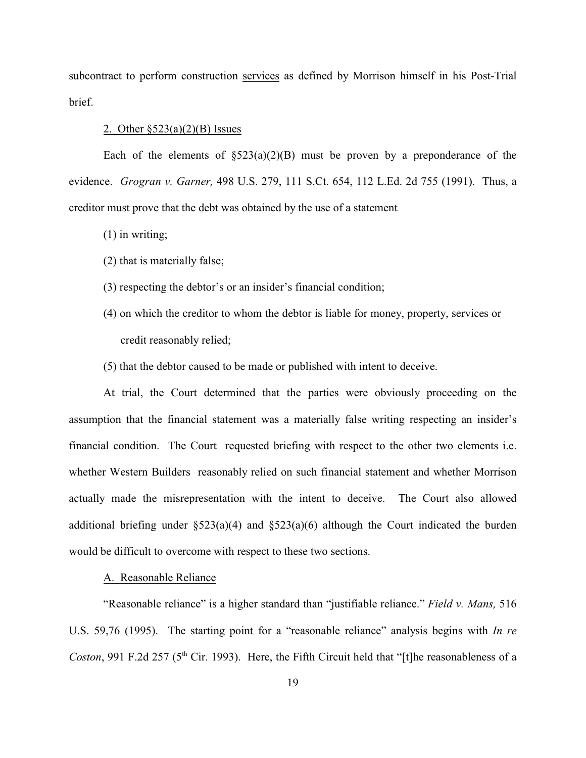subcontract to perform construction services as defined by Morrison himself in his Post-Trial brief.

## 2. Other §523(a)(2)(B) Issues

Each of the elements of  $\S 523(a)(2)(B)$  must be proven by a preponderance of the evidence. *Grogran v. Garner,* 498 U.S. 279, 111 S.Ct. 654, 112 L.Ed. 2d 755 (1991). Thus, a creditor must prove that the debt was obtained by the use of a statement

- (1) in writing;
- (2) that is materially false;
- (3) respecting the debtor's or an insider's financial condition;
- (4) on which the creditor to whom the debtor is liable for money, property, services or credit reasonably relied;
- (5) that the debtor caused to be made or published with intent to deceive.

At trial, the Court determined that the parties were obviously proceeding on the assumption that the financial statement was a materially false writing respecting an insider's financial condition. The Court requested briefing with respect to the other two elements i.e. whether Western Builders reasonably relied on such financial statement and whether Morrison actually made the misrepresentation with the intent to deceive. The Court also allowed additional briefing under  $\S 523(a)(4)$  and  $\S 523(a)(6)$  although the Court indicated the burden would be difficult to overcome with respect to these two sections.

# A. Reasonable Reliance

"Reasonable reliance" is a higher standard than "justifiable reliance." *Field v. Mans,* 516 U.S. 59,76 (1995). The starting point for a "reasonable reliance" analysis begins with *In re Coston*, 991 F.2d 257 (5<sup>th</sup> Cir. 1993). Here, the Fifth Circuit held that "[t]he reasonableness of a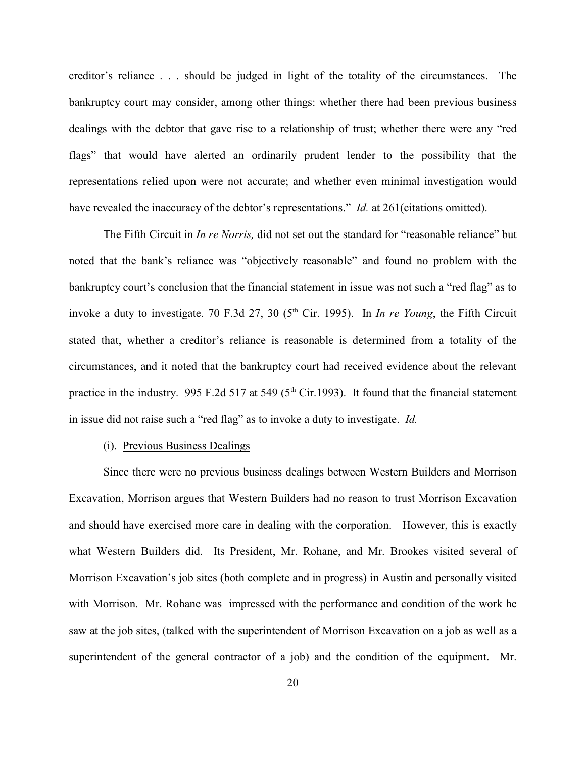creditor's reliance . . . should be judged in light of the totality of the circumstances. The bankruptcy court may consider, among other things: whether there had been previous business dealings with the debtor that gave rise to a relationship of trust; whether there were any "red flags" that would have alerted an ordinarily prudent lender to the possibility that the representations relied upon were not accurate; and whether even minimal investigation would have revealed the inaccuracy of the debtor's representations." *Id.* at 261(citations omitted).

The Fifth Circuit in *In re Norris,* did not set out the standard for "reasonable reliance" but noted that the bank's reliance was "objectively reasonable" and found no problem with the bankruptcy court's conclusion that the financial statement in issue was not such a "red flag" as to invoke a duty to investigate. 70 F.3d 27, 30 ( $5<sup>th</sup>$  Cir. 1995). In *In re Young*, the Fifth Circuit stated that, whether a creditor's reliance is reasonable is determined from a totality of the circumstances, and it noted that the bankruptcy court had received evidence about the relevant practice in the industry. 995 F.2d 517 at 549 ( $5<sup>th</sup> Cir.1993$ ). It found that the financial statement in issue did not raise such a "red flag" as to invoke a duty to investigate. *Id.*

# (i). Previous Business Dealings

Since there were no previous business dealings between Western Builders and Morrison Excavation, Morrison argues that Western Builders had no reason to trust Morrison Excavation and should have exercised more care in dealing with the corporation. However, this is exactly what Western Builders did. Its President, Mr. Rohane, and Mr. Brookes visited several of Morrison Excavation's job sites (both complete and in progress) in Austin and personally visited with Morrison. Mr. Rohane was impressed with the performance and condition of the work he saw at the job sites, (talked with the superintendent of Morrison Excavation on a job as well as a superintendent of the general contractor of a job) and the condition of the equipment. Mr.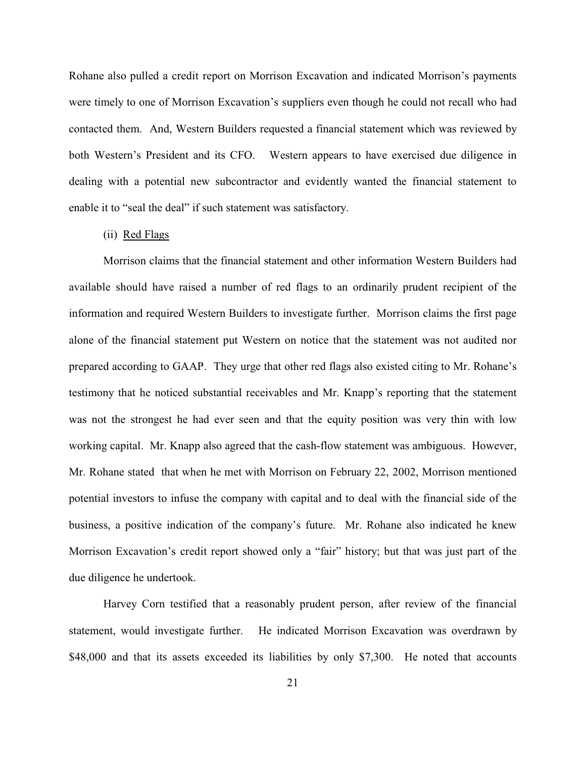Rohane also pulled a credit report on Morrison Excavation and indicated Morrison's payments were timely to one of Morrison Excavation's suppliers even though he could not recall who had contacted them. And, Western Builders requested a financial statement which was reviewed by both Western's President and its CFO. Western appears to have exercised due diligence in dealing with a potential new subcontractor and evidently wanted the financial statement to enable it to "seal the deal" if such statement was satisfactory.

# (ii) Red Flags

Morrison claims that the financial statement and other information Western Builders had available should have raised a number of red flags to an ordinarily prudent recipient of the information and required Western Builders to investigate further. Morrison claims the first page alone of the financial statement put Western on notice that the statement was not audited nor prepared according to GAAP. They urge that other red flags also existed citing to Mr. Rohane's testimony that he noticed substantial receivables and Mr. Knapp's reporting that the statement was not the strongest he had ever seen and that the equity position was very thin with low working capital. Mr. Knapp also agreed that the cash-flow statement was ambiguous. However, Mr. Rohane stated that when he met with Morrison on February 22, 2002, Morrison mentioned potential investors to infuse the company with capital and to deal with the financial side of the business, a positive indication of the company's future. Mr. Rohane also indicated he knew Morrison Excavation's credit report showed only a "fair" history; but that was just part of the due diligence he undertook.

Harvey Corn testified that a reasonably prudent person, after review of the financial statement, would investigate further. He indicated Morrison Excavation was overdrawn by \$48,000 and that its assets exceeded its liabilities by only \$7,300. He noted that accounts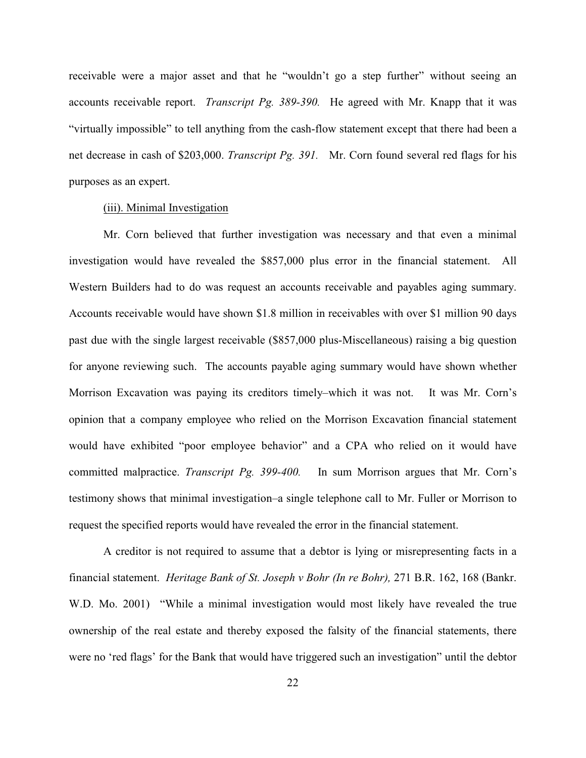receivable were a major asset and that he "wouldn't go a step further" without seeing an accounts receivable report. *Transcript Pg. 389-390.* He agreed with Mr. Knapp that it was "virtually impossible" to tell anything from the cash-flow statement except that there had been a net decrease in cash of \$203,000. *Transcript Pg. 391.* Mr. Corn found several red flags for his purposes as an expert.

# (iii). Minimal Investigation

Mr. Corn believed that further investigation was necessary and that even a minimal investigation would have revealed the \$857,000 plus error in the financial statement. All Western Builders had to do was request an accounts receivable and payables aging summary. Accounts receivable would have shown \$1.8 million in receivables with over \$1 million 90 days past due with the single largest receivable (\$857,000 plus-Miscellaneous) raising a big question for anyone reviewing such. The accounts payable aging summary would have shown whether Morrison Excavation was paying its creditors timely–which it was not. It was Mr. Corn's opinion that a company employee who relied on the Morrison Excavation financial statement would have exhibited "poor employee behavior" and a CPA who relied on it would have committed malpractice. *Transcript Pg. 399-400.* In sum Morrison argues that Mr. Corn's testimony shows that minimal investigation–a single telephone call to Mr. Fuller or Morrison to request the specified reports would have revealed the error in the financial statement.

A creditor is not required to assume that a debtor is lying or misrepresenting facts in a financial statement. *Heritage Bank of St. Joseph v Bohr (In re Bohr),* 271 B.R. 162, 168 (Bankr. W.D. Mo. 2001) "While a minimal investigation would most likely have revealed the true ownership of the real estate and thereby exposed the falsity of the financial statements, there were no 'red flags' for the Bank that would have triggered such an investigation" until the debtor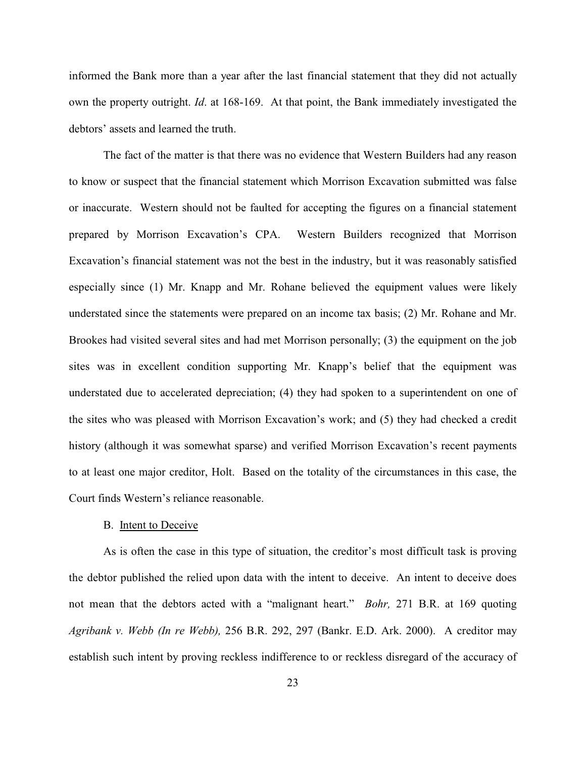informed the Bank more than a year after the last financial statement that they did not actually own the property outright. *Id*. at 168-169. At that point, the Bank immediately investigated the debtors' assets and learned the truth.

The fact of the matter is that there was no evidence that Western Builders had any reason to know or suspect that the financial statement which Morrison Excavation submitted was false or inaccurate. Western should not be faulted for accepting the figures on a financial statement prepared by Morrison Excavation's CPA. Western Builders recognized that Morrison Excavation's financial statement was not the best in the industry, but it was reasonably satisfied especially since (1) Mr. Knapp and Mr. Rohane believed the equipment values were likely understated since the statements were prepared on an income tax basis; (2) Mr. Rohane and Mr. Brookes had visited several sites and had met Morrison personally; (3) the equipment on the job sites was in excellent condition supporting Mr. Knapp's belief that the equipment was understated due to accelerated depreciation; (4) they had spoken to a superintendent on one of the sites who was pleased with Morrison Excavation's work; and (5) they had checked a credit history (although it was somewhat sparse) and verified Morrison Excavation's recent payments to at least one major creditor, Holt. Based on the totality of the circumstances in this case, the Court finds Western's reliance reasonable.

#### B. Intent to Deceive

As is often the case in this type of situation, the creditor's most difficult task is proving the debtor published the relied upon data with the intent to deceive. An intent to deceive does not mean that the debtors acted with a "malignant heart." *Bohr,* 271 B.R. at 169 quoting *Agribank v. Webb (In re Webb),* 256 B.R. 292, 297 (Bankr. E.D. Ark. 2000). A creditor may establish such intent by proving reckless indifference to or reckless disregard of the accuracy of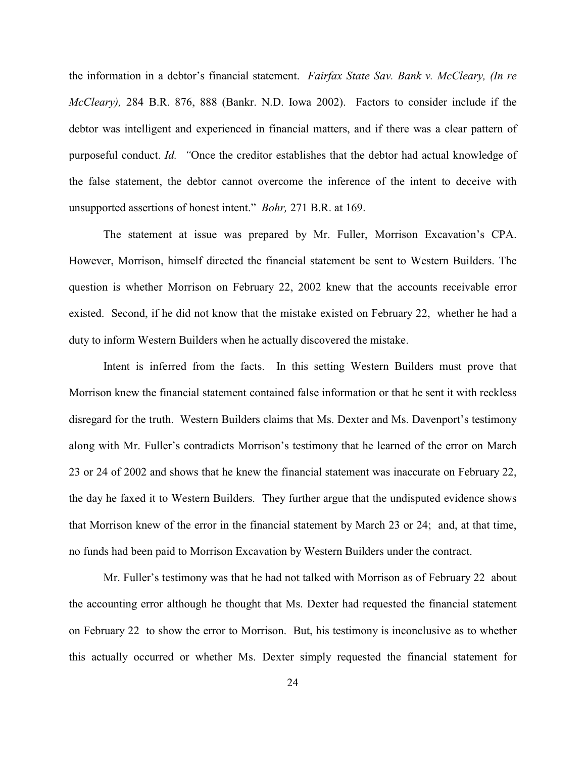the information in a debtor's financial statement. *Fairfax State Sav. Bank v. McCleary, (In re McCleary),* 284 B.R. 876, 888 (Bankr. N.D. Iowa 2002). Factors to consider include if the debtor was intelligent and experienced in financial matters, and if there was a clear pattern of purposeful conduct. *Id. "*Once the creditor establishes that the debtor had actual knowledge of the false statement, the debtor cannot overcome the inference of the intent to deceive with unsupported assertions of honest intent." *Bohr,* 271 B.R. at 169.

The statement at issue was prepared by Mr. Fuller, Morrison Excavation's CPA. However, Morrison, himself directed the financial statement be sent to Western Builders. The question is whether Morrison on February 22, 2002 knew that the accounts receivable error existed. Second, if he did not know that the mistake existed on February 22, whether he had a duty to inform Western Builders when he actually discovered the mistake.

Intent is inferred from the facts. In this setting Western Builders must prove that Morrison knew the financial statement contained false information or that he sent it with reckless disregard for the truth. Western Builders claims that Ms. Dexter and Ms. Davenport's testimony along with Mr. Fuller's contradicts Morrison's testimony that he learned of the error on March 23 or 24 of 2002 and shows that he knew the financial statement was inaccurate on February 22, the day he faxed it to Western Builders. They further argue that the undisputed evidence shows that Morrison knew of the error in the financial statement by March 23 or 24; and, at that time, no funds had been paid to Morrison Excavation by Western Builders under the contract.

Mr. Fuller's testimony was that he had not talked with Morrison as of February 22 about the accounting error although he thought that Ms. Dexter had requested the financial statement on February 22 to show the error to Morrison. But, his testimony is inconclusive as to whether this actually occurred or whether Ms. Dexter simply requested the financial statement for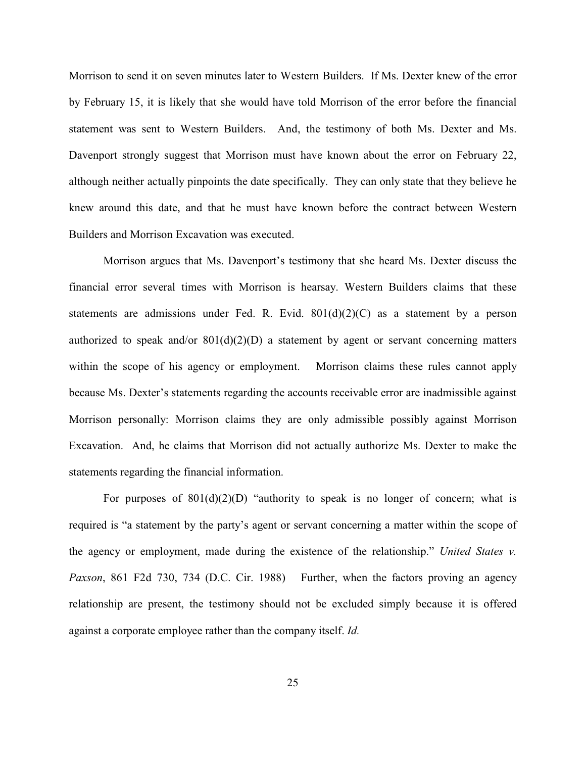Morrison to send it on seven minutes later to Western Builders. If Ms. Dexter knew of the error by February 15, it is likely that she would have told Morrison of the error before the financial statement was sent to Western Builders. And, the testimony of both Ms. Dexter and Ms. Davenport strongly suggest that Morrison must have known about the error on February 22, although neither actually pinpoints the date specifically. They can only state that they believe he knew around this date, and that he must have known before the contract between Western Builders and Morrison Excavation was executed.

Morrison argues that Ms. Davenport's testimony that she heard Ms. Dexter discuss the financial error several times with Morrison is hearsay. Western Builders claims that these statements are admissions under Fed. R. Evid.  $801(d)(2)(C)$  as a statement by a person authorized to speak and/or  $801(d)(2)(D)$  a statement by agent or servant concerning matters within the scope of his agency or employment. Morrison claims these rules cannot apply because Ms. Dexter's statements regarding the accounts receivable error are inadmissible against Morrison personally: Morrison claims they are only admissible possibly against Morrison Excavation. And, he claims that Morrison did not actually authorize Ms. Dexter to make the statements regarding the financial information.

For purposes of  $801(d)(2)(D)$  "authority to speak is no longer of concern; what is required is "a statement by the party's agent or servant concerning a matter within the scope of the agency or employment, made during the existence of the relationship." *United States v. Paxson*, 861 F2d 730, 734 (D.C. Cir. 1988) Further, when the factors proving an agency relationship are present, the testimony should not be excluded simply because it is offered against a corporate employee rather than the company itself. *Id.*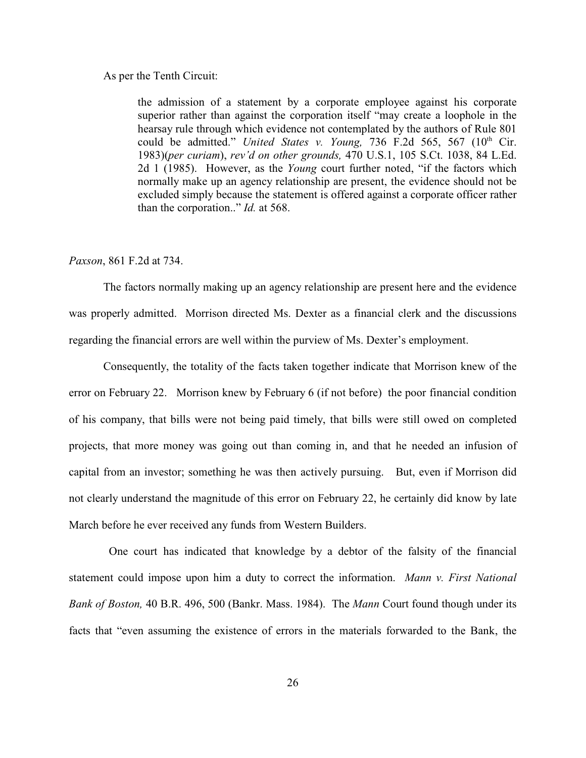## As per the Tenth Circuit:

the admission of a statement by a corporate employee against his corporate superior rather than against the corporation itself "may create a loophole in the hearsay rule through which evidence not contemplated by the authors of Rule 801 could be admitted." *United States v. Young, 736 F.2d 565, 567 (10<sup>th</sup> Cir.* 1983)(*per curiam*), *rev'd on other grounds,* 470 U.S.1, 105 S.Ct. 1038, 84 L.Ed. 2d 1 (1985). However, as the *Young* court further noted, "if the factors which normally make up an agency relationship are present, the evidence should not be excluded simply because the statement is offered against a corporate officer rather than the corporation.." *Id.* at 568.

# *Paxson*, 861 F.2d at 734.

The factors normally making up an agency relationship are present here and the evidence was properly admitted. Morrison directed Ms. Dexter as a financial clerk and the discussions regarding the financial errors are well within the purview of Ms. Dexter's employment.

Consequently, the totality of the facts taken together indicate that Morrison knew of the error on February 22. Morrison knew by February 6 (if not before) the poor financial condition of his company, that bills were not being paid timely, that bills were still owed on completed projects, that more money was going out than coming in, and that he needed an infusion of capital from an investor; something he was then actively pursuing. But, even if Morrison did not clearly understand the magnitude of this error on February 22, he certainly did know by late March before he ever received any funds from Western Builders.

 One court has indicated that knowledge by a debtor of the falsity of the financial statement could impose upon him a duty to correct the information. *Mann v. First National Bank of Boston,* 40 B.R. 496, 500 (Bankr. Mass. 1984). The *Mann* Court found though under its facts that "even assuming the existence of errors in the materials forwarded to the Bank, the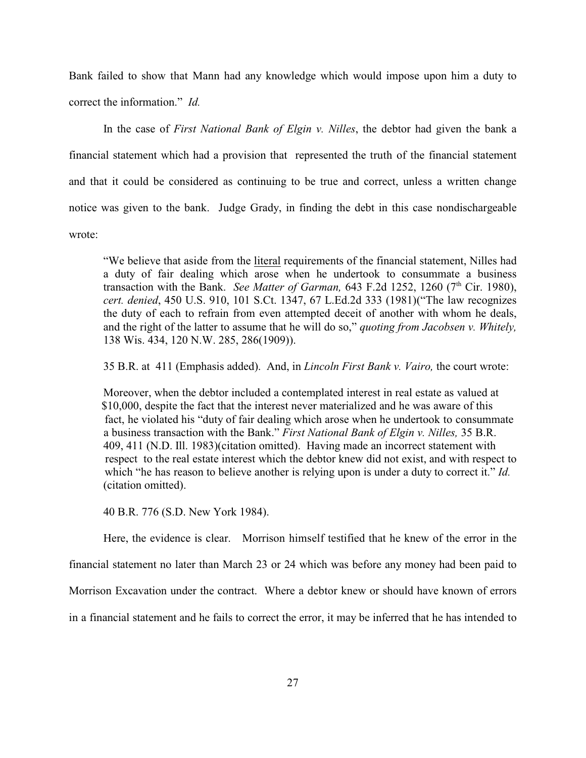Bank failed to show that Mann had any knowledge which would impose upon him a duty to correct the information." *Id.*

In the case of *First National Bank of Elgin v. Nilles*, the debtor had given the bank a financial statement which had a provision that represented the truth of the financial statement and that it could be considered as continuing to be true and correct, unless a written change notice was given to the bank. Judge Grady, in finding the debt in this case nondischargeable wrote:

"We believe that aside from the literal requirements of the financial statement, Nilles had a duty of fair dealing which arose when he undertook to consummate a business transaction with the Bank. *See Matter of Garman*, 643 F.2d 1252, 1260 ( $7<sup>th</sup>$  Cir. 1980), *cert. denied*, 450 U.S. 910, 101 S.Ct. 1347, 67 L.Ed.2d 333 (1981)("The law recognizes the duty of each to refrain from even attempted deceit of another with whom he deals, and the right of the latter to assume that he will do so," *quoting from Jacobsen v. Whitely,* 138 Wis. 434, 120 N.W. 285, 286(1909)).

35 B.R. at 411 (Emphasis added). And, in *Lincoln First Bank v. Vairo,* the court wrote:

Moreover, when the debtor included a contemplated interest in real estate as valued at \$10,000, despite the fact that the interest never materialized and he was aware of this fact, he violated his "duty of fair dealing which arose when he undertook to consummate a business transaction with the Bank." *First National Bank of Elgin v. Nilles,* 35 B.R. 409, 411 (N.D. Ill. 1983)(citation omitted). Having made an incorrect statement with respect to the real estate interest which the debtor knew did not exist, and with respect to which "he has reason to believe another is relying upon is under a duty to correct it." *Id.* (citation omitted).

40 B.R. 776 (S.D. New York 1984).

Here, the evidence is clear. Morrison himself testified that he knew of the error in the financial statement no later than March 23 or 24 which was before any money had been paid to Morrison Excavation under the contract. Where a debtor knew or should have known of errors in a financial statement and he fails to correct the error, it may be inferred that he has intended to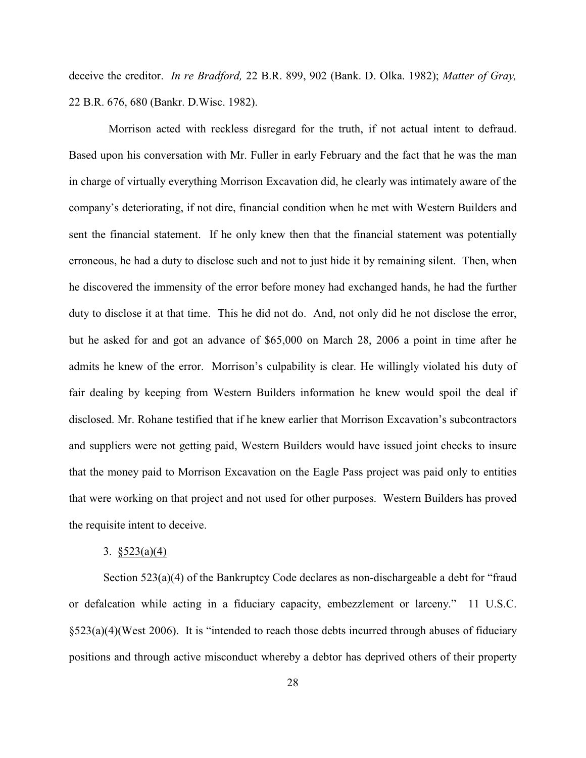deceive the creditor. *In re Bradford,* 22 B.R. 899, 902 (Bank. D. Olka. 1982); *Matter of Gray,* 22 B.R. 676, 680 (Bankr. D.Wisc. 1982).

 Morrison acted with reckless disregard for the truth, if not actual intent to defraud. Based upon his conversation with Mr. Fuller in early February and the fact that he was the man in charge of virtually everything Morrison Excavation did, he clearly was intimately aware of the company's deteriorating, if not dire, financial condition when he met with Western Builders and sent the financial statement. If he only knew then that the financial statement was potentially erroneous, he had a duty to disclose such and not to just hide it by remaining silent. Then, when he discovered the immensity of the error before money had exchanged hands, he had the further duty to disclose it at that time. This he did not do. And, not only did he not disclose the error, but he asked for and got an advance of \$65,000 on March 28, 2006 a point in time after he admits he knew of the error. Morrison's culpability is clear. He willingly violated his duty of fair dealing by keeping from Western Builders information he knew would spoil the deal if disclosed. Mr. Rohane testified that if he knew earlier that Morrison Excavation's subcontractors and suppliers were not getting paid, Western Builders would have issued joint checks to insure that the money paid to Morrison Excavation on the Eagle Pass project was paid only to entities that were working on that project and not used for other purposes. Western Builders has proved the requisite intent to deceive.

## 3. §523(a)(4)

Section 523(a)(4) of the Bankruptcy Code declares as non-dischargeable a debt for "fraud or defalcation while acting in a fiduciary capacity, embezzlement or larceny." 11 U.S.C. §523(a)(4)(West 2006). It is "intended to reach those debts incurred through abuses of fiduciary positions and through active misconduct whereby a debtor has deprived others of their property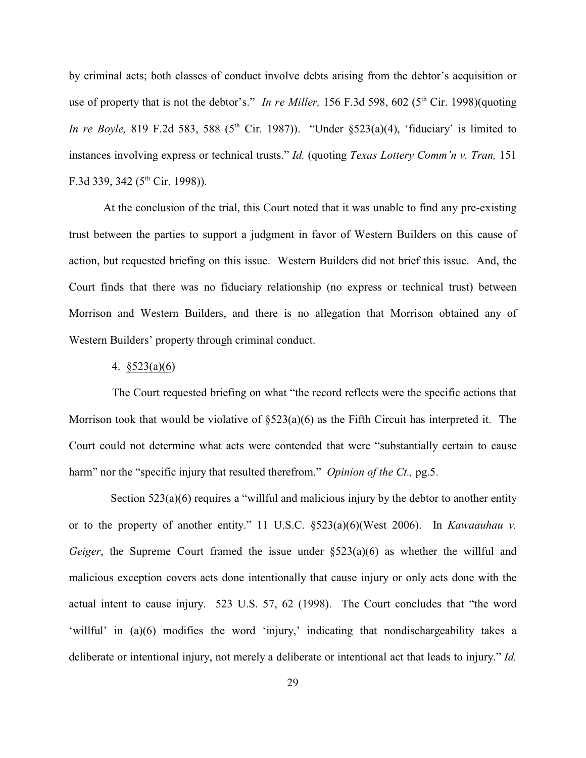by criminal acts; both classes of conduct involve debts arising from the debtor's acquisition or use of property that is not the debtor's." *In re Miller*, 156 F.3d 598, 602 (5<sup>th</sup> Cir. 1998)(quoting *In re Boyle*, 819 F.2d 583, 588 (5<sup>th</sup> Cir. 1987)). "Under  $\frac{$523(a)(4)}{1}$ , 'fiduciary' is limited to instances involving express or technical trusts." *Id.* (quoting *Texas Lottery Comm'n v. Tran,* 151 F.3d 339, 342 ( $5<sup>th</sup>$  Cir. 1998)).

At the conclusion of the trial, this Court noted that it was unable to find any pre-existing trust between the parties to support a judgment in favor of Western Builders on this cause of action, but requested briefing on this issue. Western Builders did not brief this issue. And, the Court finds that there was no fiduciary relationship (no express or technical trust) between Morrison and Western Builders, and there is no allegation that Morrison obtained any of Western Builders' property through criminal conduct.

### 4. §523(a)(6)

 The Court requested briefing on what "the record reflects were the specific actions that Morrison took that would be violative of  $\S523(a)(6)$  as the Fifth Circuit has interpreted it. The Court could not determine what acts were contended that were "substantially certain to cause harm" nor the "specific injury that resulted therefrom." *Opinion of the Ct.*, pg.5.

Section 523(a)(6) requires a "willful and malicious injury by the debtor to another entity or to the property of another entity." 11 U.S.C. §523(a)(6)(West 2006). In *Kawaauhau v. Geiger*, the Supreme Court framed the issue under §523(a)(6) as whether the willful and malicious exception covers acts done intentionally that cause injury or only acts done with the actual intent to cause injury. 523 U.S. 57, 62 (1998). The Court concludes that "the word 'willful' in (a)(6) modifies the word 'injury,' indicating that nondischargeability takes a deliberate or intentional injury, not merely a deliberate or intentional act that leads to injury." *Id.*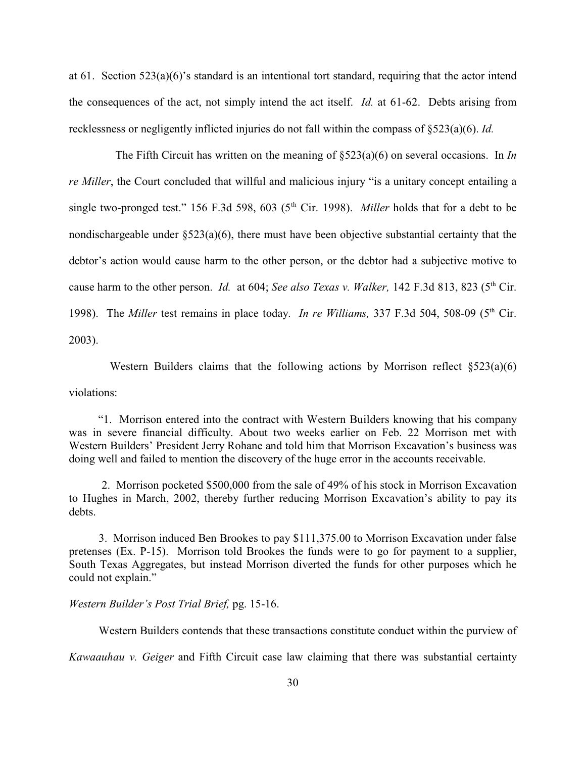at 61. Section  $523(a)(6)$ 's standard is an intentional tort standard, requiring that the actor intend the consequences of the act, not simply intend the act itself. *Id.* at 61-62. Debts arising from recklessness or negligently inflicted injuries do not fall within the compass of §523(a)(6). *Id.*

 The Fifth Circuit has written on the meaning of §523(a)(6) on several occasions. In *In re Miller*, the Court concluded that willful and malicious injury "is a unitary concept entailing a single two-pronged test." 156 F.3d 598, 603 ( $5<sup>th</sup>$  Cir. 1998). *Miller* holds that for a debt to be nondischargeable under  $\S 523(a)(6)$ , there must have been objective substantial certainty that the debtor's action would cause harm to the other person, or the debtor had a subjective motive to cause harm to the other person. *Id.* at 604; *See also Texas v. Walker*, 142 F.3d 813, 823 (5<sup>th</sup> Cir. 1998). The *Miller* test remains in place today. *In re Williams*, 337 F.3d 504, 508-09 (5<sup>th</sup> Cir. 2003).

Western Builders claims that the following actions by Morrison reflect  $\S 523(a)(6)$ violations:

 "1. Morrison entered into the contract with Western Builders knowing that his company was in severe financial difficulty. About two weeks earlier on Feb. 22 Morrison met with Western Builders' President Jerry Rohane and told him that Morrison Excavation's business was doing well and failed to mention the discovery of the huge error in the accounts receivable.

 2. Morrison pocketed \$500,000 from the sale of 49% of his stock in Morrison Excavation to Hughes in March, 2002, thereby further reducing Morrison Excavation's ability to pay its debts.

 3. Morrison induced Ben Brookes to pay \$111,375.00 to Morrison Excavation under false pretenses (Ex. P-15). Morrison told Brookes the funds were to go for payment to a supplier, South Texas Aggregates, but instead Morrison diverted the funds for other purposes which he could not explain."

## *Western Builder's Post Trial Brief,* pg. 15-16.

Western Builders contends that these transactions constitute conduct within the purview of

*Kawaauhau v. Geiger* and Fifth Circuit case law claiming that there was substantial certainty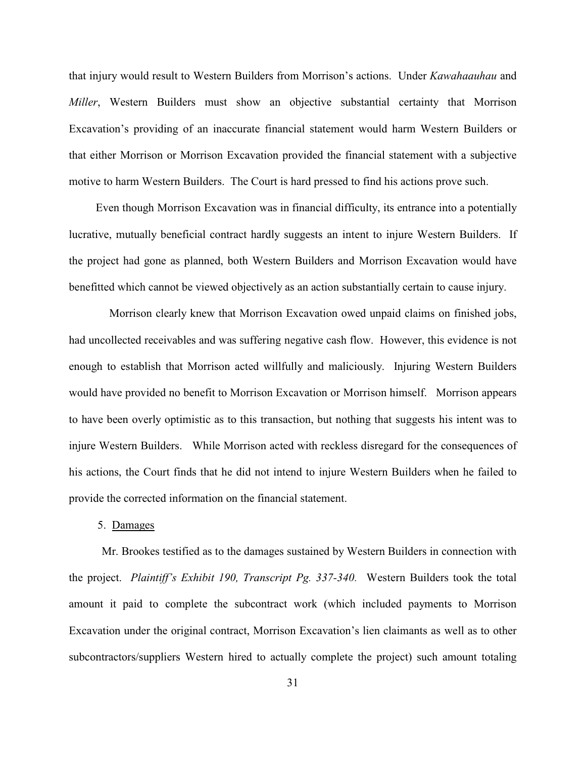that injury would result to Western Builders from Morrison's actions. Under *Kawahaauhau* and *Miller*, Western Builders must show an objective substantial certainty that Morrison Excavation's providing of an inaccurate financial statement would harm Western Builders or that either Morrison or Morrison Excavation provided the financial statement with a subjective motive to harm Western Builders. The Court is hard pressed to find his actions prove such.

 Even though Morrison Excavation was in financial difficulty, its entrance into a potentially lucrative, mutually beneficial contract hardly suggests an intent to injure Western Builders. If the project had gone as planned, both Western Builders and Morrison Excavation would have benefitted which cannot be viewed objectively as an action substantially certain to cause injury.

 Morrison clearly knew that Morrison Excavation owed unpaid claims on finished jobs, had uncollected receivables and was suffering negative cash flow. However, this evidence is not enough to establish that Morrison acted willfully and maliciously. Injuring Western Builders would have provided no benefit to Morrison Excavation or Morrison himself. Morrison appears to have been overly optimistic as to this transaction, but nothing that suggests his intent was to injure Western Builders. While Morrison acted with reckless disregard for the consequences of his actions, the Court finds that he did not intend to injure Western Builders when he failed to provide the corrected information on the financial statement.

## 5. Damages

Mr. Brookes testified as to the damages sustained by Western Builders in connection with the project. *Plaintiff's Exhibit 190, Transcript Pg. 337-340.* Western Builders took the total amount it paid to complete the subcontract work (which included payments to Morrison Excavation under the original contract, Morrison Excavation's lien claimants as well as to other subcontractors/suppliers Western hired to actually complete the project) such amount totaling